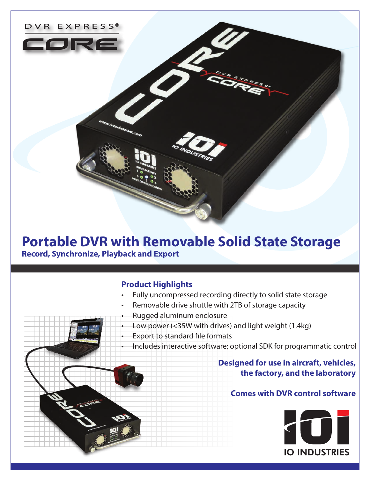

# **Portable DVR with Removable Solid State Storage Record, Synchronize, Playback and Export**

#### **Product Highlights**

- Fully uncompressed recording directly to solid state storage
- Removable drive shuttle with 2TB of storage capacity
- Rugged aluminum enclosure
- Low power (<35W with drives) and light weight (1.4kg)
- Export to standard file formats
	- Includes interactive software; optional SDK for programmatic control

## **Designed for use in aircraft, vehicles, the factory, and the laboratory**

### **Comes with DVR control software**